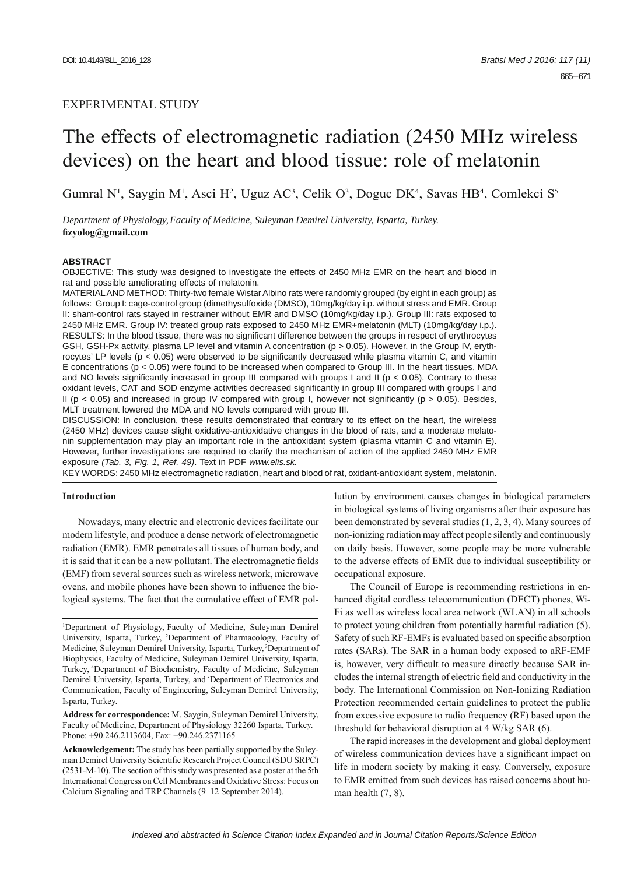# EXPERIMENTAL STUDY

# The effects of electromagnetic radiation (2450 MHz wireless devices) on the heart and blood tissue: role of melatonin

Gumral N<sup>1</sup>, Saygin M<sup>1</sup>, Asci H<sup>2</sup>, Uguz AC<sup>3</sup>, Celik O<sup>3</sup>, Doguc DK<sup>4</sup>, Savas HB<sup>4</sup>, Comlekci S<sup>5</sup>

*Department of Physiology,Faculty of Medicine, Suleyman Demirel University, Isparta, Turkey.*  **fi zyolog@gmail.com**

#### **ABSTRACT**

OBJECTIVE: This study was designed to investigate the effects of 2450 MHz EMR on the heart and blood in rat and possible ameliorating effects of melatonin.

MATERIAL AND METHOD: Thirty-two female Wistar Albino rats were randomly grouped (by eight in each group) as follows: Group I: cage-control group (dimethysulfoxide (DMSO), 10mg/kg/day i.p. without stress and EMR. Group II: sham-control rats stayed in restrainer without EMR and DMSO (10mg/kg/day i.p.). Group III: rats exposed to 2450 MHz EMR. Group IV: treated group rats exposed to 2450 MHz EMR+melatonin (MLT) (10mg/kg/day i.p.). RESULTS: In the blood tissue, there was no significant difference between the groups in respect of erythrocytes GSH, GSH-Px activity, plasma LP level and vitamin A concentration (p > 0.05). However, in the Group IV, erythrocytes' LP levels ( $p < 0.05$ ) were observed to be significantly decreased while plasma vitamin C, and vitamin E concentrations ( $p < 0.05$ ) were found to be increased when compared to Group III. In the heart tissues, MDA and NO levels significantly increased in group III compared with groups I and II ( $p < 0.05$ ). Contrary to these oxidant levels, CAT and SOD enzyme activities decreased significantly in group III compared with groups I and II ( $p < 0.05$ ) and increased in group IV compared with group I, however not significantly ( $p > 0.05$ ). Besides, MLT treatment lowered the MDA and NO levels compared with group III.

DISCUSSION: In conclusion, these results demonstrated that contrary to its effect on the heart, the wireless (2450 MHz) devices cause slight oxidative-antioxidative changes in the blood of rats, and a moderate melatonin supplementation may play an important role in the antioxidant system (plasma vitamin C and vitamin E). However, further investigations are required to clarify the mechanism of action of the applied 2450 MHz EMR exposure *(Tab. 3, Fig. 1, Ref. 49)*. Text in PDF *www.elis.sk.*

KEY WORDS: 2450 MHz electromagnetic radiation, heart and blood of rat, oxidant-antioxidant system, melatonin.

# **Introduction**

Nowadays, many electric and electronic devices facilitate our modern lifestyle, and produce a dense network of electromagnetic radiation (EMR). EMR penetrates all tissues of human body, and it is said that it can be a new pollutant. The electromagnetic fields (EMF) from several sources such as wireless network, microwave ovens, and mobile phones have been shown to influence the biological systems. The fact that the cumulative effect of EMR pol-

1 Department of Physiology, Faculty of Medicine, Suleyman Demirel University, Isparta, Turkey, 2 Department of Pharmacology, Faculty of Medicine, Suleyman Demirel University, Isparta, Turkey, 3Department of Biophysics, Faculty of Medicine, Suleyman Demirel University, Isparta, Turkey, 4Department of Biochemistry, Faculty of Medicine, Suleyman Demirel University, Isparta, Turkey, and <sup>5</sup>Department of Electronics and Communication, Faculty of Engineering, Suleyman Demirel University, Isparta, Turkey.

**Address for correspondence:** M. Saygin, Suleyman Demirel University, Faculty of Medicine, Department of Physiology 32260 Isparta, Turkey. Phone: +90.246.2113604, Fax: +90.246.2371165

**Acknowledgement:** The study has been partially supported by the Suleyman Demirel University Scientific Research Project Council (SDU SRPC) (2531-M-10). The section of this study was presented as a poster at the 5th International Congress on Cell Membranes and Oxidative Stress: Focus on Calcium Signaling and TRP Channels (9–12 September 2014).

lution by environment causes changes in biological parameters in biological systems of living organisms after their exposure has been demonstrated by several studies (1, 2, 3, 4). Many sources of non-ionizing radiation may affect people silently and continuously on daily basis. However, some people may be more vulnerable to the adverse effects of EMR due to individual susceptibility or occupational exposure.

The Council of Europe is recommending restrictions in enhanced digital cordless telecommunication (DECT) phones, Wi-Fi as well as wireless local area network (WLAN) in all schools to protect young children from potentially harmful radiation (5). Safety of such RF-EMFs is evaluated based on specific absorption rates (SARs). The SAR in a human body exposed to aRF-EMF is, however, very difficult to measure directly because SAR includes the internal strength of electric field and conductivity in the body. The International Commission on Non-Ionizing Radiation Protection recommended certain guidelines to protect the public from excessive exposure to radio frequency (RF) based upon the threshold for behavioral disruption at 4 W/kg SAR (6).

The rapid increases in the development and global deployment of wireless communication devices have a significant impact on life in modern society by making it easy. Conversely, exposure to EMR emitted from such devices has raised concerns about human health  $(7, 8)$ .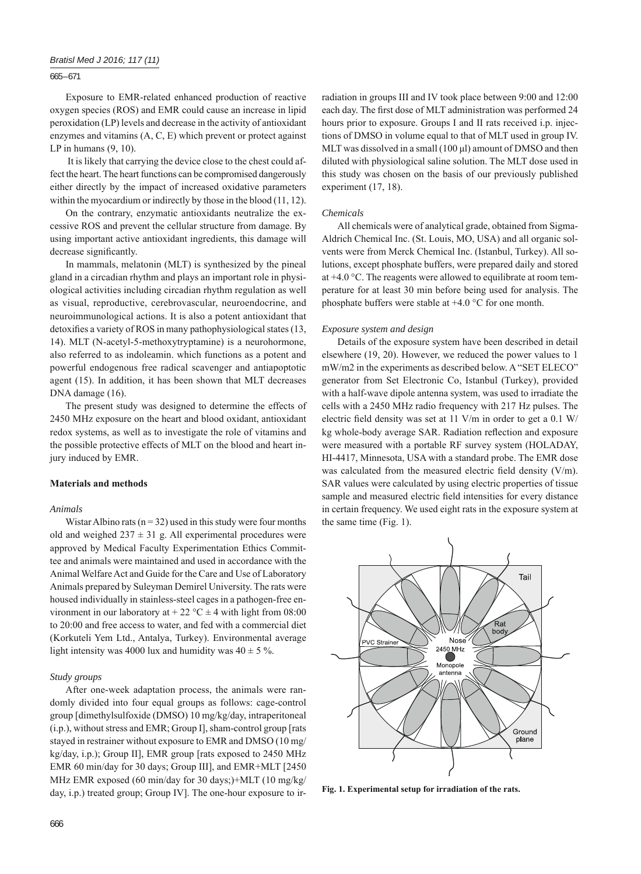## *Bratisl Med J 2016; 117 (11)*

## 665 – 671

Exposure to EMR-related enhanced production of reactive oxygen species (ROS) and EMR could cause an increase in lipid peroxidation (LP) levels and decrease in the activity of antioxidant enzymes and vitamins (A, C, E) which prevent or protect against LP in humans  $(9, 10)$ .

 It is likely that carrying the device close to the chest could affect the heart. The heart functions can be compromised dangerously either directly by the impact of increased oxidative parameters within the myocardium or indirectly by those in the blood (11, 12).

On the contrary, enzymatic antioxidants neutralize the excessive ROS and prevent the cellular structure from damage. By using important active antioxidant ingredients, this damage will decrease significantly.

In mammals, melatonin (MLT) is synthesized by the pineal gland in a circadian rhythm and plays an important role in physiological activities including circadian rhythm regulation as well as visual, reproductive, cerebrovascular, neuroendocrine, and neuroimmunological actions. It is also a potent antioxidant that detoxifies a variety of ROS in many pathophysiological states (13, 14). MLT (N-acetyl-5-methoxytryptamine) is a neurohormone, also referred to as indoleamin. which functions as a potent and powerful endogenous free radical scavenger and antiapoptotic agent (15). In addition, it has been shown that MLT decreases DNA damage (16).

The present study was designed to determine the effects of 2450 MHz exposure on the heart and blood oxidant, antioxidant redox systems, as well as to investigate the role of vitamins and the possible protective effects of MLT on the blood and heart injury induced by EMR.

# **Materials and methods**

## *Animals*

Wistar Albino rats ( $n = 32$ ) used in this study were four months old and weighed  $237 \pm 31$  g. All experimental procedures were approved by Medical Faculty Experimentation Ethics Committee and animals were maintained and used in accordance with the Animal Welfare Act and Guide for the Care and Use of Laboratory Animals prepared by Suleyman Demirel University. The rats were housed individually in stainless-steel cages in a pathogen-free environment in our laboratory at  $+ 22$  °C  $\pm$  4 with light from 08:00 to 20:00 and free access to water, and fed with a commercial diet (Korkuteli Yem Ltd., Antalya, Turkey). Environmental average light intensity was 4000 lux and humidity was  $40 \pm 5$ %.

### *Study groups*

After one-week adaptation process, the animals were randomly divided into four equal groups as follows: cage-control group [dimethylsulfoxide (DMSO) 10 mg/kg/day, intraperitoneal (i.p.), without stress and EMR; Group I], sham-control group [rats stayed in restrainer without exposure to EMR and DMSO (10 mg/ kg/day, i.p.); Group II], EMR group [rats exposed to 2450 MHz EMR 60 min/day for 30 days; Group III], and EMR+MLT [2450 MHz EMR exposed (60 min/day for 30 days;)+MLT (10 mg/kg/ day, i.p.) treated group; Group IV]. The one-hour exposure to irradiation in groups III and IV took place between 9:00 and 12:00 each day. The first dose of MLT administration was performed 24 hours prior to exposure. Groups I and II rats received i.p. injections of DMSO in volume equal to that of MLT used in group IV. MLT was dissolved in a small (100 μl) amount of DMSO and then diluted with physiological saline solution. The MLT dose used in this study was chosen on the basis of our previously published experiment (17, 18).

#### *Chemicals*

All chemicals were of analytical grade, obtained from Sigma-Aldrich Chemical Inc. (St. Louis, MO, USA) and all organic solvents were from Merck Chemical Inc. (Istanbul, Turkey). All solutions, except phosphate buffers, were prepared daily and stored at +4.0 °C. The reagents were allowed to equilibrate at room temperature for at least 30 min before being used for analysis. The phosphate buffers were stable at +4.0 °C for one month.

#### *Exposure system and design*

Details of the exposure system have been described in detail elsewhere (19, 20). However, we reduced the power values to 1 mW/m2 in the experiments as described below. A "SET ELECO" generator from Set Electronic Co, Istanbul (Turkey), provided with a half-wave dipole antenna system, was used to irradiate the cells with a 2450 MHz radio frequency with 217 Hz pulses. The electric field density was set at 11 V/m in order to get a  $0.1$  W/ kg whole-body average SAR. Radiation reflection and exposure were measured with a portable RF survey system (HOLADAY, HI-4417, Minnesota, USA with a standard probe. The EMR dose was calculated from the measured electric field density  $(V/m)$ . SAR values were calculated by using electric properties of tissue sample and measured electric field intensities for every distance in certain frequency. We used eight rats in the exposure system at the same time (Fig. 1).



**Fig. 1. Experimental setup for irradiation of the rats.**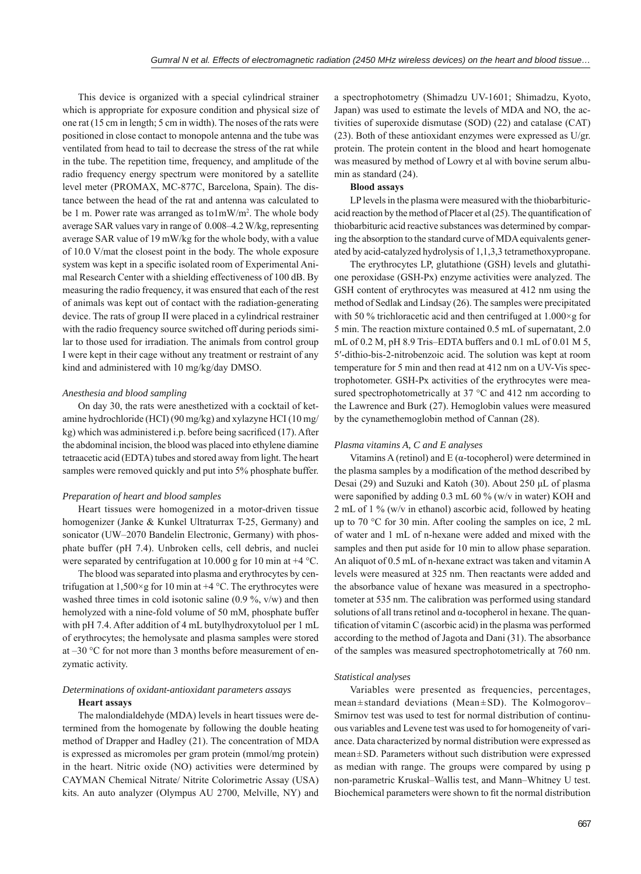This device is organized with a special cylindrical strainer which is appropriate for exposure condition and physical size of one rat (15 cm in length; 5 cm in width). The noses of the rats were positioned in close contact to monopole antenna and the tube was ventilated from head to tail to decrease the stress of the rat while in the tube. The repetition time, frequency, and amplitude of the radio frequency energy spectrum were monitored by a satellite level meter (PROMAX, MC-877C, Barcelona, Spain). The distance between the head of the rat and antenna was calculated to be 1 m. Power rate was arranged as to1mW/m<sup>2</sup>. The whole body average SAR values vary in range of 0.008–4.2 W/kg, representing average SAR value of 19 mW/kg for the whole body, with a value of 10.0 V/mat the closest point in the body. The whole exposure system was kept in a specific isolated room of Experimental Animal Research Center with a shielding effectiveness of 100 dB. By measuring the radio frequency, it was ensured that each of the rest of animals was kept out of contact with the radiation-generating device. The rats of group II were placed in a cylindrical restrainer with the radio frequency source switched off during periods similar to those used for irradiation. The animals from control group I were kept in their cage without any treatment or restraint of any kind and administered with 10 mg/kg/day DMSO.

#### *Anesthesia and blood sampling*

On day 30, the rats were anesthetized with a cocktail of ketamine hydrochloride (HCI) (90 mg/kg) and xylazyne HCI (10 mg/ kg) which was administered i.p. before being sacrificed (17). After the abdominal incision, the blood was placed into ethylene diamine tetraacetic acid (EDTA) tubes and stored away from light. The heart samples were removed quickly and put into 5% phosphate buffer.

## *Preparation of heart and blood samples*

Heart tissues were homogenized in a motor-driven tissue homogenizer (Janke & Kunkel Ultraturrax T-25, Germany) and sonicator (UW–2070 Bandelin Electronic, Germany) with phosphate buffer (pH 7.4). Unbroken cells, cell debris, and nuclei were separated by centrifugation at 10.000 g for 10 min at  $+4$  °C.

The blood was separated into plasma and erythrocytes by centrifugation at  $1,500 \times g$  for 10 min at  $+4$  °C. The erythrocytes were washed three times in cold isotonic saline  $(0.9\%$ , v/w) and then hemolyzed with a nine-fold volume of 50 mM, phosphate buffer with pH 7.4. After addition of 4 mL butylhydroxytoluol per 1 mL of erythrocytes; the hemolysate and plasma samples were stored at –30 °C for not more than 3 months before measurement of enzymatic activity.

## *Determinations of oxidant-antioxidant parameters assays* **Heart assays**

The malondialdehyde (MDA) levels in heart tissues were determined from the homogenate by following the double heating method of Drapper and Hadley (21). The concentration of MDA is expressed as micromoles per gram protein (mmol/mg protein) in the heart. Nitric oxide (NO) activities were determined by CAYMAN Chemical Nitrate/ Nitrite Colorimetric Assay (USA) kits. An auto analyzer (Olympus AU 2700, Melville, NY) and

a spectrophotometry (Shimadzu UV-1601; Shimadzu, Kyoto, Japan) was used to estimate the levels of MDA and NO, the activities of superoxide dismutase (SOD) (22) and catalase (CAT) (23). Both of these antioxidant enzymes were expressed as U/gr. protein. The protein content in the blood and heart homogenate was measured by method of Lowry et al with bovine serum albumin as standard (24).

#### **Blood assays**

LP levels in the plasma were measured with the thiobarbituricacid reaction by the method of Placer et al  $(25)$ . The quantification of thiobarbituric acid reactive substances was determined by comparing the absorption to the standard curve of MDA equivalents generated by acid-catalyzed hydrolysis of 1,1,3,3 tetramethoxypropane.

The erythrocytes LP, glutathione (GSH) levels and glutathione peroxidase (GSH-Px) enzyme activities were analyzed. The GSH content of erythrocytes was measured at 412 nm using the method of Sedlak and Lindsay (26). The samples were precipitated with 50 % trichloracetic acid and then centrifuged at 1.000×g for 5 min. The reaction mixture contained 0.5 mL of supernatant, 2.0 mL of 0.2 M, pH 8.9 Tris–EDTA buffers and 0.1 mL of 0.01 M 5, 5′-dithio-bis-2-nitrobenzoic acid. The solution was kept at room temperature for 5 min and then read at 412 nm on a UV-Vis spectrophotometer. GSH-Px activities of the erythrocytes were measured spectrophotometrically at 37 °C and 412 nm according to the Lawrence and Burk (27). Hemoglobin values were measured by the cynamethemoglobin method of Cannan (28).

#### *Plasma vitamins A, C and E analyses*

Vitamins A (retinol) and E (α-tocopherol) were determined in the plasma samples by a modification of the method described by Desai (29) and Suzuki and Katoh (30). About 250 μL of plasma were saponified by adding  $0.3$  mL  $60$  % (w/v in water) KOH and 2 mL of 1 % (w/v in ethanol) ascorbic acid, followed by heating up to 70 °C for 30 min. After cooling the samples on ice, 2 mL of water and 1 mL of n-hexane were added and mixed with the samples and then put aside for 10 min to allow phase separation. An aliquot of 0.5 mL of n-hexane extract was taken and vitamin A levels were measured at 325 nm. Then reactants were added and the absorbance value of hexane was measured in a spectrophotometer at 535 nm. The calibration was performed using standard solutions of all trans retinol and  $\alpha$ -tocopherol in hexane. The quantification of vitamin C (ascorbic acid) in the plasma was performed according to the method of Jagota and Dani (31). The absorbance of the samples was measured spectrophotometrically at 760 nm.

#### *Statistical analyses*

Variables were presented as frequencies, percentages, mean±standard deviations (Mean±SD). The Kolmogorov– Smirnov test was used to test for normal distribution of continuous variables and Levene test was used to for homogeneity of variance. Data characterized by normal distribution were expressed as mean±SD. Parameters without such distribution were expressed as median with range. The groups were compared by using p non-parametric Kruskal–Wallis test, and Mann–Whitney U test. Biochemical parameters were shown to fit the normal distribution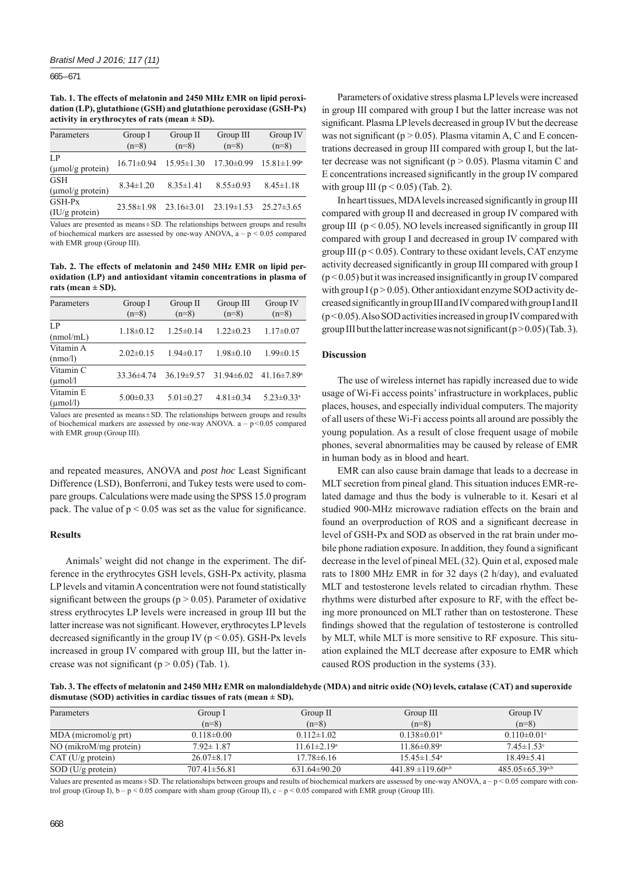$665 - 671$ 

**Tab. 1. The effects of melatonin and 2450 MHz EMR on lipid peroxidation (LP), glutathione (GSH) and glutathione peroxidase (GSH-Px) activity in erythrocytes of rats (mean ± SD).**

| Parameters                                 | Group I<br>$(n=8)$ | Group II<br>$(n=8)$ | Group III<br>$(n=8)$ | Group IV<br>$(n=8)$ |
|--------------------------------------------|--------------------|---------------------|----------------------|---------------------|
| LP<br>$(\mu \text{mol/g protein})$         | $16.71 \pm 0.94$   | $15.95 \pm 1.30$    | $17.30 \pm 0.99$     | $15.81 \pm 1.99^a$  |
| <b>GSH</b><br>$(\mu \text{mol/g protein})$ | $8.34 \pm 1.20$    | $8.35 \pm 1.41$     | $8.55 \pm 0.93$      | $8.45 \pm 1.18$     |
| $GSH-Px$<br>(IU/g protein)                 | $23.58 \pm 1.98$   | $23.16 \pm 3.01$    | $23.19 \pm 1.53$     | $25.27\pm3.65$      |

Values are presented as means±SD. The relationships between groups and results of biochemical markers are assessed by one-way ANOVA,  $a - p \le 0.05$  compared with EMR group (Group III).

**Tab. 2. The effects of melatonin and 2450 MHz EMR on lipid peroxidation (LP) and antioxidant vitamin concentrations in plasma of**  rats (mean  $\pm$  SD).

| Parameters                        | Group I<br>$(n=8)$ | Group II<br>$(n=8)$ | Group III<br>$(n=8)$ | Group IV<br>$(n=8)$           |
|-----------------------------------|--------------------|---------------------|----------------------|-------------------------------|
| LP<br>(mmol/mL)                   | $1.18 \pm 0.12$    | $1.25 \pm 0.14$     | $1.22 \pm 0.23$      | $1.17 \pm 0.07$               |
| Vitamin A<br>(nmo/l)              | $2.02 \pm 0.15$    | $1.94 \pm 0.17$     | $1.98 \pm 0.10$      | $1.99 \pm 0.15$               |
| Vitamin C<br>$(\mu$ mol/l         | 33.36±4.74         | $36.19 \pm 9.57$    | $31.94\pm 6.02$      | $41.16 \pm 7.89$ <sup>a</sup> |
| Vitamin E<br>$(\mu \text{mol/l})$ | $5.00 \pm 0.33$    | $5.01 \pm 0.27$     | $4.81 \pm 0.34$      | $5.23 \pm 0.33$ <sup>a</sup>  |

Values are presented as means±SD. The relationships between groups and results of biochemical markers are assessed by one-way ANOVA.  $a - p \le 0.05$  compared with EMR group (Group III).

and repeated measures, ANOVA and *post hoc* Least Significant Difference (LSD), Bonferroni, and Tukey tests were used to compare groups. Calculations were made using the SPSS 15.0 program pack. The value of  $p < 0.05$  was set as the value for significance.

## **Results**

Animals' weight did not change in the experiment. The difference in the erythrocytes GSH levels, GSH-Px activity, plasma LP levels and vitamin A concentration were not found statistically significant between the groups ( $p > 0.05$ ). Parameter of oxidative stress erythrocytes LP levels were increased in group III but the latter increase was not significant. However, erythrocytes LP levels decreased significantly in the group IV ( $p < 0.05$ ). GSH-Px levels increased in group IV compared with group III, but the latter increase was not significant ( $p > 0.05$ ) (Tab. 1).

Parameters of oxidative stress plasma LP levels were increased in group III compared with group I but the latter increase was not significant. Plasma LP levels decreased in group IV but the decrease was not significant ( $p > 0.05$ ). Plasma vitamin A, C and E concentrations decreased in group III compared with group I, but the latter decrease was not significant ( $p > 0.05$ ). Plasma vitamin C and E concentrations increased significantly in the group IV compared with group III ( $p < 0.05$ ) (Tab. 2).

In heart tissues, MDA levels increased significantly in group III compared with group II and decreased in group IV compared with group III  $(p < 0.05)$ . NO levels increased significantly in group III compared with group I and decreased in group IV compared with group III ( $p < 0.05$ ). Contrary to these oxidant levels, CAT enzyme activity decreased significantly in group III compared with group I  $(p < 0.05)$  but it was increased insignificantly in group IV compared with group  $I(p > 0.05)$ . Other antioxidant enzyme SOD activity decreased significantly in group III and IV compared with group I and II (p < 0.05). Also SOD activities increased in group IV compared with group III but the latter increase was not significant  $(p > 0.05)$  (Tab. 3).

## **Discussion**

The use of wireless internet has rapidly increased due to wide usage of Wi-Fi access points' infrastructure in workplaces, public places, houses, and especially individual computers. The majority of all users of these Wi-Fi access points all around are possibly the young population. As a result of close frequent usage of mobile phones, several abnormalities may be caused by release of EMR in human body as in blood and heart.

EMR can also cause brain damage that leads to a decrease in MLT secretion from pineal gland. This situation induces EMR-related damage and thus the body is vulnerable to it. Kesari et al studied 900-MHz microwave radiation effects on the brain and found an overproduction of ROS and a significant decrease in level of GSH-Px and SOD as observed in the rat brain under mobile phone radiation exposure. In addition, they found a significant decrease in the level of pineal MEL (32). Quin et al, exposed male rats to 1800 MHz EMR in for 32 days (2 h/day), and evaluated MLT and testosterone levels related to circadian rhythm. These rhythms were disturbed after exposure to RF, with the effect being more pronounced on MLT rather than on testosterone. These findings showed that the regulation of testosterone is controlled by MLT, while MLT is more sensitive to RF exposure. This situation explained the MLT decrease after exposure to EMR which caused ROS production in the systems (33).

**Tab. 3. The effects of melatonin and 2450 MHz EMR on malondialdehyde (MDA) and nitric oxide (NO) levels, catalase (CAT) and superoxide dismutase (SOD) activities in cardiac tissues of rats (mean ± SD).**

| Parameters             | Group I            | Group II           | Group III                     | Group IV                 |
|------------------------|--------------------|--------------------|-------------------------------|--------------------------|
|                        | $(n=8)$            | $(n=8)$            | $(n=8)$                       | $(n=8)$                  |
| $MDA$ (micromol/g prt) | $0.118 \pm 0.00$   | $0.112 \pm 1.02$   | $0.138 \pm 0.01b$             | $0.110 \pm 0.01$ °       |
| NO (mikroM/mg protein) | $7.92 \pm 1.87$    | $11.61 \pm 2.19^a$ | 11.86 $\pm$ 0.89 <sup>a</sup> | $7.45 \pm 1.53$ °        |
| $CAT$ (U/g protein)    | $26.07\pm8.17$     | $17.78 \pm 6.16$   | $15.45 \pm 1.54$ <sup>a</sup> | $18.49 \pm 5.41$         |
| $SOD$ (U/g protein)    | $707.41 \pm 56.81$ | $631.64 \pm 90.20$ | $441.89 \pm 119.60^{a,b}$     | $485.05 \pm 65.39^{a,b}$ |

Values are presented as means $\pm$ SD. The relationships between groups and results of biochemical markers are assessed by one-way ANOVA,  $a - p \le 0.05$  compare with control group (Group I),  $b - p < 0.05$  compare with sham group (Group II),  $c - p < 0.05$  compared with EMR group (Group III).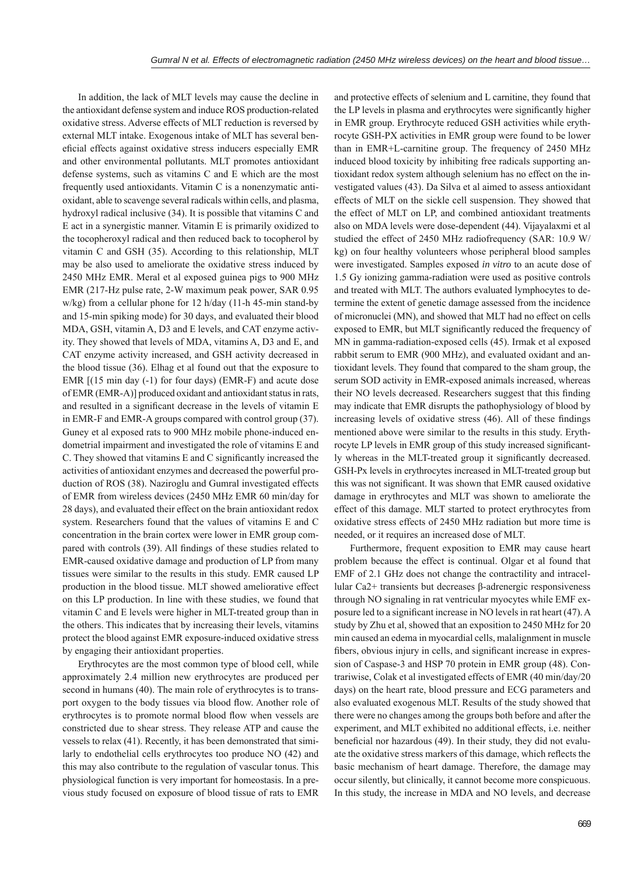In addition, the lack of MLT levels may cause the decline in the antioxidant defense system and induce ROS production-related oxidative stress. Adverse effects of MLT reduction is reversed by external MLT intake. Exogenous intake of MLT has several beneficial effects against oxidative stress inducers especially EMR and other environmental pollutants. MLT promotes antioxidant defense systems, such as vitamins C and E which are the most frequently used antioxidants. Vitamin C is a nonenzymatic antioxidant, able to scavenge several radicals within cells, and plasma, hydroxyl radical inclusive (34). It is possible that vitamins C and E act in a synergistic manner. Vitamin E is primarily oxidized to the tocopheroxyl radical and then reduced back to tocopherol by vitamin C and GSH (35). According to this relationship, MLT may be also used to ameliorate the oxidative stress induced by 2450 MHz EMR. Meral et al exposed guinea pigs to 900 MHz EMR (217-Hz pulse rate, 2-W maximum peak power, SAR 0.95 w/kg) from a cellular phone for 12 h/day (11-h 45-min stand-by and 15-min spiking mode) for 30 days, and evaluated their blood MDA, GSH, vitamin A, D3 and E levels, and CAT enzyme activity. They showed that levels of MDA, vitamins A, D3 and E, and CAT enzyme activity increased, and GSH activity decreased in the blood tissue (36). Elhag et al found out that the exposure to EMR [(15 min day (-1) for four days) (EMR-F) and acute dose of EMR (EMR-A)] produced oxidant and antioxidant status in rats, and resulted in a significant decrease in the levels of vitamin E in EMR-F and EMR-A groups compared with control group (37). Guney et al exposed rats to 900 MHz mobile phone-induced endometrial impairment and investigated the role of vitamins E and C. They showed that vitamins E and C significantly increased the activities of antioxidant enzymes and decreased the powerful production of ROS (38). Naziroglu and Gumral investigated effects of EMR from wireless devices (2450 MHz EMR 60 min/day for 28 days), and evaluated their effect on the brain antioxidant redox system. Researchers found that the values of vitamins E and C concentration in the brain cortex were lower in EMR group compared with controls (39). All findings of these studies related to EMR-caused oxidative damage and production of LP from many tissues were similar to the results in this study. EMR caused LP production in the blood tissue. MLT showed ameliorative effect on this LP production. In line with these studies, we found that vitamin C and E levels were higher in MLT-treated group than in the others. This indicates that by increasing their levels, vitamins protect the blood against EMR exposure-induced oxidative stress by engaging their antioxidant properties.

Erythrocytes are the most common type of blood cell, while approximately 2.4 million new erythrocytes are produced per second in humans (40). The main role of erythrocytes is to transport oxygen to the body tissues via blood flow. Another role of erythrocytes is to promote normal blood flow when vessels are constricted due to shear stress. They release ATP and cause the vessels to relax (41). Recently, it has been demonstrated that similarly to endothelial cells erythrocytes too produce NO (42) and this may also contribute to the regulation of vascular tonus. This physiological function is very important for homeostasis. In a previous study focused on exposure of blood tissue of rats to EMR

and protective effects of selenium and L carnitine, they found that the LP levels in plasma and erythrocytes were significantly higher in EMR group. Erythrocyte reduced GSH activities while erythrocyte GSH-PX activities in EMR group were found to be lower than in EMR+L-carnitine group. The frequency of 2450 MHz induced blood toxicity by inhibiting free radicals supporting antioxidant redox system although selenium has no effect on the investigated values (43). Da Silva et al aimed to assess antioxidant effects of MLT on the sickle cell suspension. They showed that the effect of MLT on LP, and combined antioxidant treatments also on MDA levels were dose-dependent (44). Vijayalaxmi et al studied the effect of 2450 MHz radiofrequency (SAR: 10.9 W/ kg) on four healthy volunteers whose peripheral blood samples were investigated. Samples exposed *in vitro* to an acute dose of 1.5 Gy ionizing gamma-radiation were used as positive controls and treated with MLT. The authors evaluated lymphocytes to determine the extent of genetic damage assessed from the incidence of micronuclei (MN), and showed that MLT had no effect on cells exposed to EMR, but MLT significantly reduced the frequency of MN in gamma-radiation-exposed cells (45). Irmak et al exposed rabbit serum to EMR (900 MHz), and evaluated oxidant and antioxidant levels. They found that compared to the sham group, the serum SOD activity in EMR-exposed animals increased, whereas their NO levels decreased. Researchers suggest that this finding may indicate that EMR disrupts the pathophysiology of blood by increasing levels of oxidative stress (46). All of these findings mentioned above were similar to the results in this study. Erythrocyte LP levels in EMR group of this study increased significantly whereas in the MLT-treated group it significantly decreased. GSH-Px levels in erythrocytes increased in MLT-treated group but this was not significant. It was shown that EMR caused oxidative damage in erythrocytes and MLT was shown to ameliorate the effect of this damage. MLT started to protect erythrocytes from oxidative stress effects of 2450 MHz radiation but more time is needed, or it requires an increased dose of MLT.

Furthermore, frequent exposition to EMR may cause heart problem because the effect is continual. Olgar et al found that EMF of 2.1 GHz does not change the contractility and intracellular Ca2+ transients but decreases β-adrenergic responsiveness through NO signaling in rat ventricular myocytes while EMF exposure led to a significant increase in NO levels in rat heart (47). A study by Zhu et al, showed that an exposition to 2450 MHz for 20 min caused an edema in myocardial cells, malalignment in muscle fibers, obvious injury in cells, and significant increase in expression of Caspase-3 and HSP 70 protein in EMR group (48). Contrariwise, Colak et al investigated effects of EMR (40 min/day/20 days) on the heart rate, blood pressure and ECG parameters and also evaluated exogenous MLT. Results of the study showed that there were no changes among the groups both before and after the experiment, and MLT exhibited no additional effects, i.e. neither beneficial nor hazardous (49). In their study, they did not evaluate the oxidative stress markers of this damage, which reflects the basic mechanism of heart damage. Therefore, the damage may occur silently, but clinically, it cannot become more conspicuous. In this study, the increase in MDA and NO levels, and decrease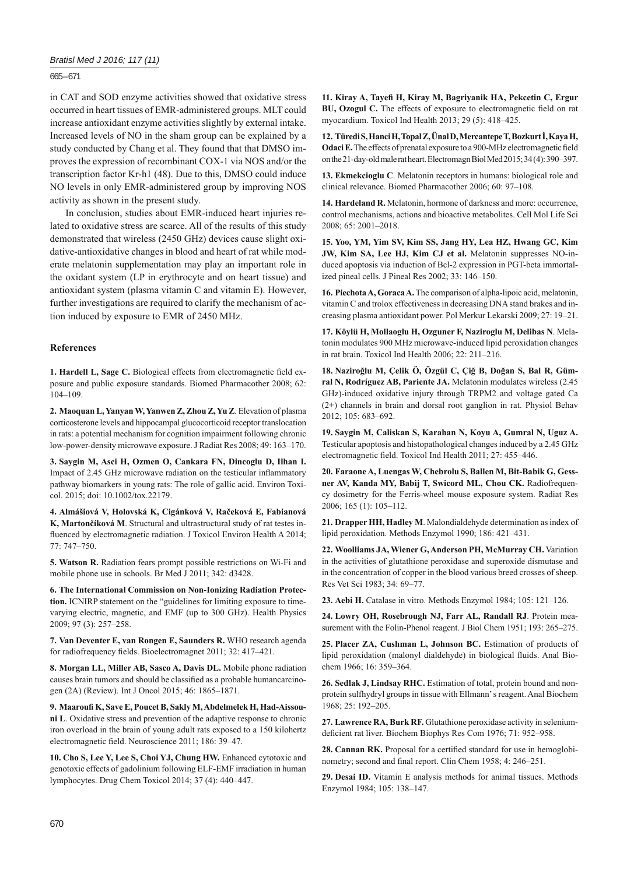$665 - 671$ 

in CAT and SOD enzyme activities showed that oxidative stress occurred in heart tissues of EMR-administered groups. MLT could increase antioxidant enzyme activities slightly by external intake. Increased levels of NO in the sham group can be explained by a study conducted by Chang et al. They found that that DMSO improves the expression of recombinant COX-1 via NOS and/or the transcription factor Kr-h1 (48). Due to this, DMSO could induce NO levels in only EMR-administered group by improving NOS activity as shown in the present study.

In conclusion, studies about EMR-induced heart injuries related to oxidative stress are scarce. All of the results of this study demonstrated that wireless (2450 GHz) devices cause slight oxidative-antioxidative changes in blood and heart of rat while moderate melatonin supplementation may play an important role in the oxidant system (LP in erythrocyte and on heart tissue) and antioxidant system (plasma vitamin C and vitamin E). However, further investigations are required to clarify the mechanism of action induced by exposure to EMR of 2450 MHz.

# **References**

1. Hardell L, Sage C. Biological effects from electromagnetic field exposure and public exposure standards. Biomed Pharmacother 2008; 62: 104–109.

**2. Maoquan L, Yanyan W, Yanwen Z, Zhou Z, Yu Z**. Elevation of plasma corticosterone levels and hippocampal glucocorticoid receptor translocation in rats: a potential mechanism for cognition impairment following chronic low-power-density microwave exposure. J Radiat Res 2008; 49: 163–170.

**3. Saygin M, Asci H, Ozmen O, Cankara FN, Dincoglu D, Ilhan I.** Impact of 2.45 GHz microwave radiation on the testicular inflammatory pathway biomarkers in young rats: The role of gallic acid. Environ Toxicol. 2015; doi: 10.1002/tox.22179.

**4. Almášiová V, Holovská K, Cigánková V, Račeková E, Fabianová K, Martončíková M**. Structural and ultrastructural study of rat testes influenced by electromagnetic radiation. J Toxicol Environ Health A 2014; 77: 747–750.

**5. Watson R.** Radiation fears prompt possible restrictions on Wi-Fi and mobile phone use in schools. Br Med J 2011; 342: d3428.

**6. The International Commission on Non-Ionizing Radiation Protection.** ICNIRP statement on the "guidelines for limiting exposure to timevarying electric, magnetic, and EMF (up to 300 GHz). Health Physics 2009; 97 (3): 257–258.

**7. Van Deventer E, van Rongen E, Saunders R.** WHO research agenda for radiofrequency fields. Bioelectromagnet 2011; 32: 417-421.

**8. Morgan LL, Miller AB, Sasco A, Davis DL.** Mobile phone radiation causes brain tumors and should be classified as a probable humancarcinogen (2A) (Review). Int J Oncol 2015; 46: 1865–1871.

**9. Maaroufi K, Save E, Poucet B, Sakly M, Abdelmelek H, Had-Aissouni L**. Oxidative stress and prevention of the adaptive response to chronic iron overload in the brain of young adult rats exposed to a 150 kilohertz electromagnetic field. Neuroscience 2011; 186: 39-47.

**10. Cho S, Lee Y, Lee S, Choi YJ, Chung HW.** Enhanced cytotoxic and genotoxic effects of gadolinium following ELF-EMF irradiation in human lymphocytes. Drug Chem Toxicol 2014; 37 (4): 440–447.

**11. Kiray A, Tayefi H, Kiray M, Bagriyanik HA, Pekcetin C, Ergur BU, Ozogul C.** The effects of exposure to electromagnetic field on rat myocardium. Toxicol Ind Health 2013; 29 (5): 418–425.

**12. Türedi S, Hanci H, Topal Z, Ünal D, Mercantepe T, Bozkurt İ, Kaya H,**  Odaci E. The effects of prenatal exposure to a 900-MHz electromagnetic field on the 21-day-old male rat heart. Electromagn Biol Med 2015; 34 (4): 390–397.

**13. Ekmekcioglu C**. Melatonin receptors in humans: biological role and clinical relevance. Biomed Pharmacother 2006; 60: 97–108.

**14. Hardeland R.** Melatonin, hormone of darkness and more: occurrence, control mechanisms, actions and bioactive metabolites. Cell Mol Life Sci 2008; 65: 2001–2018.

**15. Yoo, YM, Yim SV, Kim SS, Jang HY, Lea HZ, Hwang GC, Kim JW, Kim SA, Lee HJ, Kim CJ et al.** Melatonin suppresses NO-induced apoptosis via induction of Bcl-2 expression in PGT-beta immortalized pineal cells. J Pineal Res 2002; 33: 146–150.

**16. Piechota A, Goraca A.** The comparison of alpha-lipoic acid, melatonin, vitamin C and trolox effectiveness in decreasing DNA stand brakes and increasing plasma antioxidant power. Pol Merkur Lekarski 2009; 27: 19–21.

**17. Köylü H, Mollaoglu H, Ozguner F, Naziroglu M, Delibas N**. Melatonin modulates 900 MHz microwave-induced lipid peroxidation changes in rat brain. Toxicol Ind Health 2006; 22: 211–216.

**18. Naziroğlu M, Çelik Ö, Özgül C, Çiğ B, Doğan S, Bal R, Gümral N, Rodríguez AB, Pariente JA.** Melatonin modulates wireless (2.45 GHz)-induced oxidative injury through TRPM2 and voltage gated Ca (2+) channels in brain and dorsal root ganglion in rat. Physiol Behav 2012; 105: 683–692.

**19. Saygin M, Caliskan S, Karahan N, Koyu A, Gumral N, Uguz A.**  Testicular apoptosis and histopathological changes induced by a 2.45 GHz electromagnetic field. Toxicol Ind Health 2011; 27: 455-446.

**20. Faraone A, Luengas W, Chebrolu S, Ballen M, Bit-Babik G, Gessner AV, Kanda MY, Babij T, Swicord ML, Chou CK.** Radiofrequency dosimetry for the Ferris-wheel mouse exposure system. Radiat Res 2006; 165 (1): 105–112.

**21. Drapper HH, Hadley M**. Malondialdehyde determination as index of lipid peroxidation. Methods Enzymol 1990; 186: 421–431.

**22. Woolliams JA, Wiener G, Anderson PH, McMurray CH.** Variation in the activities of glutathione peroxidase and superoxide dismutase and in the concentration of copper in the blood various breed crosses of sheep. Res Vet Sci 1983; 34: 69–77.

**23. Aebi H.** Catalase in vitro. Methods Enzymol 1984; 105: 121–126.

**24. Lowry OH, Rosebrough NJ, Farr AL, Randall RJ**. Protein measurement with the Folin-Phenol reagent. J Biol Chem 1951; 193: 265–275.

**25. Placer ZA, Cushman L, Johnson BC.** Estimation of products of lipid peroxidation (malonyl dialdehyde) in biological fluids. Anal Biochem 1966; 16: 359–364.

**26. Sedlak J, Lindsay RHC.** Estimation of total, protein bound and nonprotein sulfhydryl groups in tissue with Ellmann' s reagent. Anal Biochem 1968; 25: 192–205.

**27. Lawrence RA, Burk RF.** Glutathione peroxidase activity in seleniumdeficient rat liver. Biochem Biophys Res Com 1976; 71: 952–958.

28. Cannan RK. Proposal for a certified standard for use in hemoglobinometry; second and final report. Clin Chem 1958; 4: 246-251.

**29. Desai ID.** Vitamin E analysis methods for animal tissues. Methods Enzymol 1984; 105: 138–147.